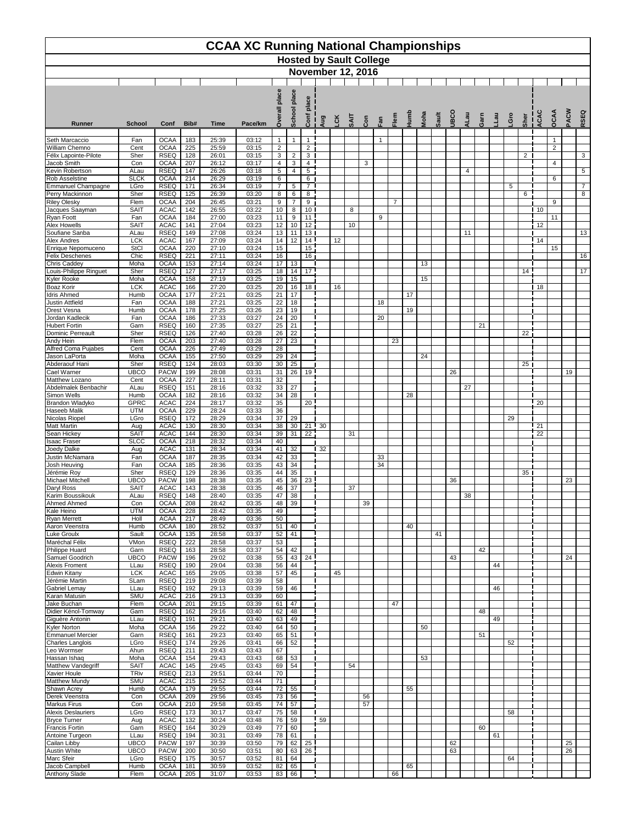| <b>CCAA XC Running National Championships</b><br><b>Hosted by Sault College</b> |                           |                            |            |                |                |                            |                     |                                  |              |                          |             |          |              |                |        |      |       |             |    |      |    |            |                 |                 |             |     |                 |
|---------------------------------------------------------------------------------|---------------------------|----------------------------|------------|----------------|----------------|----------------------------|---------------------|----------------------------------|--------------|--------------------------|-------------|----------|--------------|----------------|--------|------|-------|-------------|----|------|----|------------|-----------------|-----------------|-------------|-----|-----------------|
|                                                                                 |                           |                            |            |                |                |                            |                     |                                  |              | <b>November 12, 2016</b> |             |          |              |                |        |      |       |             |    |      |    |            |                 |                 |             |     |                 |
|                                                                                 |                           |                            |            |                |                |                            |                     |                                  |              |                          |             |          |              |                |        |      |       |             |    |      |    |            |                 |                 |             |     |                 |
|                                                                                 |                           |                            |            |                |                | place                      | place               |                                  |              |                          |             |          |              |                |        |      |       |             |    |      |    |            |                 |                 |             |     |                 |
|                                                                                 |                           |                            |            |                |                | $\overline{\overline{16}}$ |                     | place                            |              |                          |             |          |              |                |        |      |       |             |    |      |    |            |                 |                 |             |     |                 |
| <b>Runner</b>                                                                   | <b>School</b>             | Conf                       | Bib#       | <b>Time</b>    | Pace/km        | ă                          | <b>School</b>       | Conf                             | Aug          | LCK                      | <b>SAIT</b> | Con      | Fan          | Flem           | -<br>로 | Moha | Sault | <b>UBCO</b> |    | Garn |    | <b>Gro</b> | Sher            | ACA             | <b>OCAA</b> | ACW | RSEQ            |
| Seth Marcaccio                                                                  | Fan                       | <b>OCAA</b>                | 183        | 25:39          | 03:12          |                            | $\mathbf{1}$        | $\mathbf{1}$                     |              |                          |             |          | $\mathbf{1}$ |                |        |      |       |             |    |      |    |            |                 |                 |             |     |                 |
| <b>William Chemno</b>                                                           | Cent<br>Sher              | <b>OCAA</b><br><b>RSEQ</b> | 225<br>128 | 25:59<br>26:01 | 03:15<br>03:15 | $2^{\circ}$<br>3           |                     | $\overline{2}$<br>3 <sup>1</sup> |              |                          |             |          |              |                |        |      |       |             |    |      |    |            | 2 <sub>1</sub>  |                 | 2           |     |                 |
| Félix Lapointe-Pilote<br>Jacob Smith                                            | Con                       | <b>OCAA</b>                | 207        | 26:12          | 03:17          | $\overline{4}$             | $\overline{2}$<br>3 | $\overline{4}$                   |              |                          |             | 3        |              |                |        |      |       |             |    |      |    |            |                 |                 | 4           |     | 3               |
| Kevin Robertson                                                                 | ALau                      | <b>RSEQ</b>                | 147        | 26:26          | 03:18          | 5                          | $\overline{4}$      | $5\phantom{.0}$                  |              |                          |             |          |              |                |        |      |       |             | 4  |      |    |            |                 |                 |             |     | $5\phantom{.0}$ |
| Rob Asselstine<br><b>Emmanuel Champagne</b>                                     | <b>SLCK</b><br>LGro       | <b>OCAA</b><br><b>RSEQ</b> | 214<br>171 | 26:29<br>26:34 | 03:19<br>03:19 | 6<br>$\overline{7}$        | 5                   | 6<br>$7^{\circ}$                 |              |                          |             |          |              |                |        |      |       |             |    |      |    | 5          |                 |                 | 6           |     | $\overline{7}$  |
| Perry Mackinnon                                                                 | Sher                      | <b>RSEQ</b>                | 125        | 26:39          | 03:20          | 8                          | 6                   | 8                                |              |                          |             |          |              |                |        |      |       |             |    |      |    |            | 6               |                 |             |     | $\,8\,$         |
| <b>Riley Olesky</b>                                                             | Flem                      | <b>OCAA</b>                | 204        | 26:45          | 03:21          | $\boldsymbol{9}$           | $\overline{7}$      | 9                                |              |                          |             |          |              | $\overline{7}$ |        |      |       |             |    |      |    |            |                 |                 | 9           |     |                 |
| Jacques Saayman<br><b>Ryan Foott</b>                                            | <b>SAIT</b><br>Fan        | <b>ACAC</b><br><b>OCAA</b> | 142<br>184 | 26:55<br>27:00 | 03:22<br>03:23 | 10<br>11                   | 8<br>9              | 10<br>11                         |              |                          | 8           |          | 9            |                |        |      |       |             |    |      |    |            |                 | 10              | 11          |     |                 |
| <b>Alex Howells</b>                                                             | <b>SAIT</b>               | <b>ACAC</b>                | 141        | 27:04          | 03:23          | 12                         | 10                  | 12                               |              |                          | 10          |          |              |                |        |      |       |             |    |      |    |            |                 | 12              |             |     |                 |
| Soufiane Sanba<br><b>Alex Andres</b>                                            | ALau                      | <b>RSEQ</b><br><b>ACAC</b> | 149<br>167 | 27:08<br>27:09 | 03:24          | 13                         | 11<br>12            | 13 <sub>1</sub><br>14            |              |                          |             |          |              |                |        |      |       |             | 11 |      |    |            |                 | 14              |             |     | 13              |
| Enrique Nepomuceno                                                              | <b>LCK</b><br><b>StCl</b> | <b>OCAA</b>                | 220        | 27:10          | 03:24<br>03:24 | 14<br>15                   |                     | 15                               |              | 12                       |             |          |              |                |        |      |       |             |    |      |    |            |                 |                 | 15          |     |                 |
| <b>Felix Deschenes</b>                                                          | Chic                      | <b>RSEQ</b>                | 221        | 27:11          | 03:24          | 16                         |                     | 16                               |              |                          |             |          |              |                |        |      |       |             |    |      |    |            |                 |                 |             |     | 16              |
| Chris Caddey<br>Louis-Philippe Ringuet                                          | Moha<br>Sher              | <b>OCAA</b><br><b>RSEQ</b> | 153<br>127 | 27:14<br>27:17 | 03:24<br>03:25 | 17<br>18                   | 13<br>14            | 17                               |              |                          |             |          |              |                |        | 13   |       |             |    |      |    |            | 14              |                 |             |     | 17              |
| Kyler Rooke                                                                     | Moha                      | <b>OCAA</b>                | 158        | 27:19          | 03:25          | 19                         | 15                  |                                  |              |                          |             |          |              |                |        | 15   |       |             |    |      |    |            |                 |                 |             |     |                 |
| <b>Boaz Korir</b>                                                               | <b>LCK</b>                | <b>ACAC</b>                | 166        | 27:20          | 03:25          | 20                         | 16                  | 18 <sup>1</sup>                  |              | 16                       |             |          |              |                |        |      |       |             |    |      |    |            |                 | 18              |             |     |                 |
| <b>Idris Ahmed</b><br><b>Justin Attfield</b>                                    | Humb<br>Fan               | <b>OCAA</b><br><b>OCAA</b> | 177<br>188 | 27:21<br>27:21 | 03:25<br>03:25 | 21<br>22                   | 17<br>18            |                                  |              |                          |             |          | 18           |                | 17     |      |       |             |    |      |    |            |                 |                 |             |     |                 |
| <b>Orest Vesna</b>                                                              | Humb                      | <b>OCAA</b>                | 178        | 27:25          | 03:26          | 23                         | $19$                |                                  |              |                          |             |          |              |                | 19     |      |       |             |    |      |    |            |                 |                 |             |     |                 |
| Jordan Kadlecik                                                                 | Fan                       | <b>OCAA</b>                | 186        | 27:33          | 03:27          | 24                         | 20                  |                                  |              |                          |             |          | 20           |                |        |      |       |             |    |      |    |            |                 |                 |             |     |                 |
| <b>Hubert Fortin</b><br><b>Dominic Perreault</b>                                | Garn<br>Sher              | <b>RSEQ</b><br><b>RSEQ</b> | 160<br>126 | 27:35<br>27:40 | 03:27<br>03:28 | 25<br>26                   | 21<br>22            |                                  |              |                          |             |          |              |                |        |      |       |             |    | 21   |    |            | 22              |                 |             |     |                 |
| Andy Hein                                                                       | Flem                      | <b>OCAA</b>                | 203        | 27:40          | 03:28          | 27                         | $\overline{23}$     |                                  |              |                          |             |          |              | 23             |        |      |       |             |    |      |    |            |                 |                 |             |     |                 |
| <b>Alfred Coma Pujabes</b>                                                      | Cent                      | <b>OCAA</b>                | 226        | 27:49          | 03:29          | 28                         |                     |                                  |              |                          |             |          |              |                |        |      |       |             |    |      |    |            |                 |                 |             |     |                 |
| Jason LaPorta<br>Abderaouf Hani                                                 | Moha<br>Sher              | <b>OCAA</b><br><b>RSEQ</b> | 155<br>124 | 27:50<br>28:03 | 03:29<br>03:30 | 29<br>30                   | 24<br>25            |                                  |              |                          |             |          |              |                |        | 24   |       |             |    |      |    |            | 25              |                 |             |     |                 |
| Cael Warner                                                                     | <b>UBCO</b>               | <b>PACW</b>                | 199        | 28:08          | 03:31          | 31                         | 26                  | 19 <sup>1</sup>                  |              |                          |             |          |              |                |        |      |       | 26          |    |      |    |            |                 |                 |             | 19  |                 |
| Matthew Lozano<br>Abdelmalek Benbachir                                          | Cent<br>ALau              | <b>OCAA</b><br><b>RSEQ</b> | 227<br>151 | 28:11<br>28:16 | 03:31<br>03:32 | 32<br>33                   | 27                  |                                  |              |                          |             |          |              |                |        |      |       |             | 27 |      |    |            |                 |                 |             |     |                 |
| Simon Wells                                                                     | Humb                      | <b>OCAA</b>                | 182        | 28:16          | 03:32          | 34                         | 28                  |                                  |              |                          |             |          |              |                | 28     |      |       |             |    |      |    |            |                 |                 |             |     |                 |
| Brandon Wladyko                                                                 | <b>GPRC</b>               | <b>ACAC</b>                | 224        | 28:17          | 03:32          | 35                         |                     | 20                               |              |                          |             |          |              |                |        |      |       |             |    |      |    |            |                 | $\overline{20}$ |             |     |                 |
| Haseeb Malik<br>Nicolas Riopel                                                  | <b>UTM</b><br>LGro        | <b>OCAA</b><br><b>RSEQ</b> | 229<br>172 | 28:24<br>28:29 | 03:33<br>03:34 | 36<br>37                   | 29                  |                                  |              |                          |             |          |              |                |        |      |       |             |    |      |    | 29         |                 |                 |             |     |                 |
| <b>Matt Martin</b>                                                              | Aug                       | <b>ACAC</b>                | 130        | 28:30          | 03:34          | $\overline{38}$            | 30                  |                                  | $21 \mid 30$ |                          |             |          |              |                |        |      |       |             |    |      |    |            |                 | 21              |             |     |                 |
| Sean Hickey                                                                     | <b>SAIT</b>               | <b>ACAC</b>                | 144        | 28:30          | 03:34          | 39                         | 31                  | 22                               |              |                          | 31          |          |              |                |        |      |       |             |    |      |    |            |                 | $\overline{22}$ |             |     |                 |
| <b>Isaac Fraser</b><br>Joedy Dalke                                              | <b>SLCC</b><br>Aug        | <b>OCAA</b><br><b>ACAC</b> | 218<br>131 | 28:32<br>28:34 | 03:34<br>03:34 | 40<br>41                   | 32                  |                                  | 32           |                          |             |          |              |                |        |      |       |             |    |      |    |            |                 |                 |             |     |                 |
| Justin McNamara                                                                 | Fan                       | <b>OCAA</b>                | 187        | 28:35          | 03:34          | 42                         | 33                  |                                  |              |                          |             |          | 33           |                |        |      |       |             |    |      |    |            |                 |                 |             |     |                 |
| Josh Heuving<br>Jérémie Roy                                                     | Fan<br>Sher               | <b>OCAA</b><br><b>RSEQ</b> | 185<br>129 | 28:36<br>28:36 | 03:35<br>03:35 | 43<br>44                   | 34<br>35            |                                  |              |                          |             |          | 34           |                |        |      |       |             |    |      |    |            | 35 <sub>1</sub> |                 |             |     |                 |
| <b>Michael Mitchell</b>                                                         | <b>UBCO</b>               | <b>PACW</b>                | 198        | 28:38          | 03:35          | 45                         | 36                  | 23                               |              |                          |             |          |              |                |        |      |       | 36          |    |      |    |            |                 |                 |             | 23  |                 |
| Daryl Ross                                                                      | <b>SAIT</b>               | <b>ACAC</b>                | 143        | 28:38          | 03:35          | 46                         | 37                  |                                  |              |                          | 37          |          |              |                |        |      |       |             |    |      |    |            |                 |                 |             |     |                 |
| Karim Boussikouk<br>Ahmed Ahmed                                                 | ALau<br>Con               | <b>RSEQ</b><br><b>OCAA</b> | 148<br>208 | 28:40<br>28:42 | 03:35<br>03:35 | 47<br>48                   | 38<br>39            |                                  |              |                          |             | 39       |              |                |        |      |       |             | 38 |      |    |            |                 |                 |             |     |                 |
| Kale Heino                                                                      | <b>UTM</b>                | <b>OCAA</b>                | 228        | 28:42          | 03:35          | 49                         |                     |                                  |              |                          |             |          |              |                |        |      |       |             |    |      |    |            |                 |                 |             |     |                 |
| <b>Ryan Merrett</b>                                                             | Holl                      | <b>ACAA</b>                | 217        | 28:49          | 03:36          | 50                         |                     |                                  |              |                          |             |          |              |                |        |      |       |             |    |      |    |            |                 |                 |             |     |                 |
| Aaron Veenstra<br>Luke Groulx                                                   | Humb<br>Sault             | <b>OCAA</b><br><b>OCAA</b> | 180<br>135 | 28:52<br>28:58 | 03:37<br>03:37 | 51<br>52                   | 40<br>41            |                                  |              |                          |             |          |              |                | 40     |      | 41    |             |    |      |    |            |                 |                 |             |     |                 |
| Maréchal Félix                                                                  | VMon                      | <b>RSEQ</b>                | 222        | 28:58          | 03:37          | 53                         |                     |                                  |              |                          |             |          |              |                |        |      |       |             |    |      |    |            |                 |                 |             |     |                 |
| Philippe Huard                                                                  | Garn                      | <b>RSEQ</b>                | 163        | 28:58          | 03:37          | 54                         | 42                  |                                  |              |                          |             |          |              |                |        |      |       |             |    | 42   |    |            |                 |                 |             |     |                 |
| Samuel Goodrich<br><b>Alexis Froment</b>                                        | <b>UBCO</b><br>LLau       | <b>PACW</b><br><b>RSEQ</b> | 196<br>190 | 29:02<br>29:04 | 03:38<br>03:38 | 55<br>56                   | 43<br>44            | 24                               |              |                          |             |          |              |                |        |      |       | 43          |    |      | 44 |            |                 |                 |             | 24  |                 |
| <b>Edwin Kitany</b>                                                             | <b>LCK</b>                | <b>ACAC</b>                | 165        | 29:05          | 03:38          | 57                         | 45                  |                                  |              | 45                       |             |          |              |                |        |      |       |             |    |      |    |            |                 |                 |             |     |                 |
| Jérémie Martin                                                                  | SLam                      | <b>RSEQ</b><br><b>RSEQ</b> | 219<br>192 | 29:08          | 03:39          | 58                         | 46                  |                                  |              |                          |             |          |              |                |        |      |       |             |    |      | 46 |            |                 |                 |             |     |                 |
| <b>Gabriel Lemay</b><br>Karan Matusin                                           | LLau<br><b>SMU</b>        | <b>ACAC</b>                | 216        | 29:13<br>29:13 | 03:39<br>03:39 | 59<br>60                   |                     |                                  |              |                          |             |          |              |                |        |      |       |             |    |      |    |            |                 |                 |             |     |                 |
| Jake Buchan                                                                     | Flem                      | <b>OCAA</b>                | 201        | 29:15          | 03:39          | 61                         | 47                  |                                  |              |                          |             |          |              | 47             |        |      |       |             |    |      |    |            |                 |                 |             |     |                 |
| Didier Kénol-Tomway<br>Giguère Antonin                                          | Garn<br>LLau              | <b>RSEQ</b><br><b>RSEQ</b> | 162<br>191 | 29:16<br>29:21 | 03:40<br>03:40 | 62<br>63                   | 48<br>49            |                                  |              |                          |             |          |              |                |        |      |       |             |    | 48   | 49 |            |                 |                 |             |     |                 |
| <b>Kyler Norton</b>                                                             | Moha                      | <b>OCAA</b>                | 156        | 29:22          | 03:40          | 64                         | 50                  |                                  |              |                          |             |          |              |                |        | 50   |       |             |    |      |    |            |                 |                 |             |     |                 |
| <b>Emmanuel Mercier</b>                                                         | Garn                      | <b>RSEQ</b>                | 161        | 29:23          | 03:40          | 65                         | 51                  |                                  |              |                          |             |          |              |                |        |      |       |             |    | 51   |    |            |                 |                 |             |     |                 |
| <b>Charles Langlois</b><br>Leo Wormser                                          | LGro<br>Ahun              | <b>RSEQ</b><br><b>RSEQ</b> | 174<br>211 | 29:26<br>29:43 | 03:41<br>03:43 | 66<br>67                   | 52                  |                                  |              |                          |             |          |              |                |        |      |       |             |    |      |    | 52         |                 |                 |             |     |                 |
| Hassan Ishaq                                                                    | Moha                      | <b>OCAA</b>                | 154        | 29:43          | 03:43          | 68                         | 53                  |                                  |              |                          |             |          |              |                |        | 53   |       |             |    |      |    |            |                 |                 |             |     |                 |
| Matthew Vandegriff                                                              | <b>SAIT</b>               | <b>ACAC</b>                | 145        | 29:45          | 03:43          | 69                         | 54                  |                                  |              |                          | 54          |          |              |                |        |      |       |             |    |      |    |            |                 |                 |             |     |                 |
| Xavier Houle<br><b>Matthew Mundy</b>                                            | <b>TRiv</b><br><b>SMU</b> | <b>RSEQ</b><br><b>ACAC</b> | 213<br>215 | 29:51<br>29:52 | 03:44<br>03:44 | $70\,$<br>71               |                     |                                  |              |                          |             |          |              |                |        |      |       |             |    |      |    |            |                 |                 |             |     |                 |
| Shawn Acrey                                                                     | Humb                      | <b>OCAA</b>                | 179        | 29:55          | 03:44          | 72                         | 55                  |                                  |              |                          |             |          |              |                | 55     |      |       |             |    |      |    |            |                 |                 |             |     |                 |
| Derek Veenstra<br><b>Markus Firus</b>                                           | Con<br>Con                | <b>OCAA</b><br><b>OCAA</b> | 209<br>210 | 29:56<br>29:58 | 03:45<br>03:45 | 73<br>74                   | 56<br>57            |                                  |              |                          |             | 56<br>57 |              |                |        |      |       |             |    |      |    |            |                 |                 |             |     |                 |
| <b>Alexis Deslauriers</b>                                                       | LGro                      | <b>RSEQ</b>                | 173        | 30:17          | 03:47          | 75                         | 58                  |                                  |              |                          |             |          |              |                |        |      |       |             |    |      |    | 58         |                 |                 |             |     |                 |
| <b>Bryce Turner</b>                                                             | Aug                       | <b>ACAC</b>                | 132        | 30:24          | 03:48          | 76                         | 59                  |                                  | 59           |                          |             |          |              |                |        |      |       |             |    |      |    |            |                 |                 |             |     |                 |
| <b>Francis Fortin</b><br>Antoine Turgeon                                        | Garn<br>LLau              | <b>RSEQ</b><br><b>RSEQ</b> | 164<br>194 | 30:29<br>30:31 | 03:49<br>03:49 | $77 \,$<br>78              | 60<br>61            |                                  |              |                          |             |          |              |                |        |      |       |             |    | 60   | 61 |            |                 |                 |             |     |                 |
| Cailan Libby                                                                    | <b>UBCO</b>               | <b>PACW</b>                | 197        | 30:39          | 03:50          | 79                         | 62                  | 25                               |              |                          |             |          |              |                |        |      |       | 62          |    |      |    |            |                 |                 |             | 25  |                 |
| Austin White                                                                    | <b>UBCO</b>               | <b>PACW</b>                | 200        | 30:50          | 03:51          | 80                         | 63                  | 26                               |              |                          |             |          |              |                |        |      |       | 63          |    |      |    |            |                 |                 |             | 26  |                 |
| Marc Sfeir<br>Jacob Campbell                                                    | LGro<br>Humb              | <b>RSEQ</b><br><b>OCAA</b> | 175<br>181 | 30:57<br>30:59 | 03:52<br>03:52 | 81<br>82                   | 64<br>65            |                                  |              |                          |             |          |              |                | 65     |      |       |             |    |      |    | 64         |                 |                 |             |     |                 |
| <b>Anthony Slade</b>                                                            | Flem                      | <b>OCAA</b>                | 205        | 31:07          | 03:53          | 83                         | 66                  |                                  |              |                          |             |          |              | 66             |        |      |       |             |    |      |    |            |                 |                 |             |     |                 |